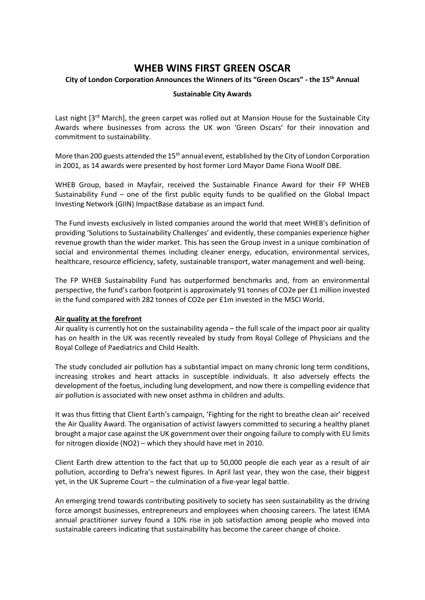# **WHEB WINS FIRST GREEN OSCAR**

## **City of London Corporation Announces the Winners of its "Green Oscars" - the 15th Annual**

## **Sustainable City Awards**

Last night  $13<sup>rd</sup>$  March], the green carpet was rolled out at Mansion House for the Sustainable City Awards where businesses from across the UK won 'Green Oscars' for their innovation and commitment to sustainability.

More than 200 guests attended the  $15<sup>th</sup>$  annual event, established by the City of London Corporation in 2001, as 14 awards were presented by host former Lord Mayor Dame Fiona Woolf DBE.

WHEB Group, based in Mayfair, received the Sustainable Finance Award for their FP WHEB Sustainability Fund – one of the first public equity funds to be qualified on the Global Impact Investing Network (GIIN) ImpactBase database as an impact fund.

The Fund invests exclusively in listed companies around the world that meet WHEB's definition of providing 'Solutions to Sustainability Challenges' and evidently, these companies experience higher revenue growth than the wider market. This has seen the Group invest in a unique combination of social and environmental themes including cleaner energy, education, environmental services, healthcare, resource efficiency, safety, sustainable transport, water management and well-being.

The FP WHEB Sustainability Fund has outperformed benchmarks and, from an environmental perspective, the fund's carbon footprint is approximately 91 tonnes of CO2e per £1 million invested in the fund compared with 282 tonnes of CO2e per £1m invested in the MSCI World.

#### **Air quality at the forefront**

Air quality is currently hot on the sustainability agenda – the full scale of the impact poor air quality has on health in the UK was recently revealed by study from Royal College of Physicians and the Royal College of Paediatrics and Child Health.

The study concluded air pollution has a substantial impact on many chronic long term conditions, increasing strokes and heart attacks in susceptible individuals. It also adversely effects the development of the foetus, including lung development, and now there is compelling evidence that air pollution is associated with new onset asthma in children and adults.

It was thus fitting that Client Earth's campaign, 'Fighting for the right to breathe clean air' received the Air Quality Award. The organisation of activist lawyers committed to securing a healthy planet brought a major case against the UK government over their ongoing failure to comply with EU limits for nitrogen dioxide (NO2) – which they should have met in 2010.

Client Earth drew attention to the fact that up to 50,000 people die each year as a result of air pollution, according to Defra's newest figures. In April last year, they won the case, their biggest yet, in the UK Supreme Court – the culmination of a five-year legal battle.

An emerging trend towards contributing positively to society has seen sustainability as the driving force amongst businesses, entrepreneurs and employees when choosing careers. The latest IEMA annual practitioner survey found a 10% rise in job satisfaction among people who moved into sustainable careers indicating that sustainability has become the career change of choice.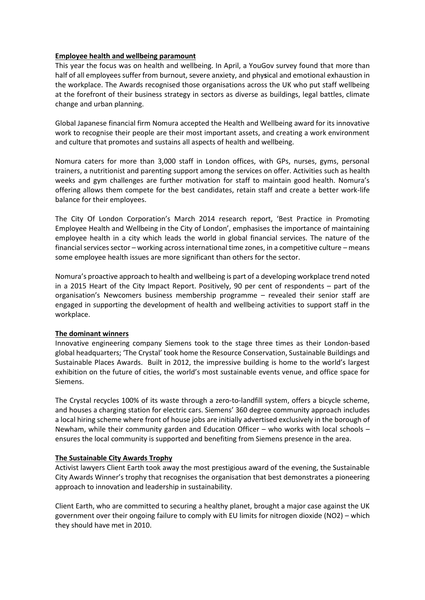## **Employee health and wellbeing paramount**

This year the focus was on health and wellbeing. In April, a YouGov survey found that more than half of all employees suffer from burnout, severe anxiety, and phy**s**ical and emotional exhaustion in the workplace. The Awards recognised those organisations across the UK who put staff wellbeing at the forefront of their business strategy in sectors as diverse as buildings, legal battles, climate change and urban planning.

Global Japanese financial firm Nomura accepted the Health and Wellbeing award for its innovative work to recognise their people are their most important assets, and creating a work environment and culture that promotes and sustains all aspects of health and wellbeing.

Nomura caters for more than 3,000 staff in London offices, with GPs, nurses, gyms, personal trainers, a nutritionist and parenting support among the services on offer. Activities such as health weeks and gym challenges are further motivation for staff to maintain good health. Nomura's offering allows them compete for the best candidates, retain staff and create a better work-life balance for their employees.

The City Of London Corporation's March 2014 research report, 'Best Practice in Promoting Employee Health and Wellbeing in the City of London', emphasises the importance of maintaining employee health in a city which leads the world in global financial services. The nature of the financial services sector – working across international time zones, in a competitive culture – means some employee health issues are more significant than others for the sector.

Nomura's proactive approach to health and wellbeing is part of a developing workplace trend noted in a 2015 Heart of the City Impact Report. Positively, 90 per cent of respondents – part of the organisation's Newcomers business membership programme – revealed their senior staff are engaged in supporting the development of health and wellbeing activities to support staff in the workplace.

# **The dominant winners**

Innovative engineering company Siemens took to the stage three times as their London-based global headquarters; 'The Crystal' took home the Resource Conservation, Sustainable Buildings and Sustainable Places Awards. Built in 2012, the impressive building is home to the world's largest exhibition on the future of cities, the world's most sustainable events venue, and office space for Siemens.

The Crystal recycles 100% of its waste through a zero-to-landfill system, offers a bicycle scheme, and houses a charging station for electric cars. Siemens' 360 degree community approach includes a local hiring scheme where front of house jobs are initially advertised exclusively in the borough of Newham, while their community garden and Education Officer – who works with local schools – ensures the local community is supported and benefiting from Siemens presence in the area.

# **The Sustainable City Awards Trophy**

Activist lawyers Client Earth took away the most prestigious award of the evening, the Sustainable City Awards Winner's trophy that recognises the organisation that best demonstrates a pioneering approach to innovation and leadership in sustainability.

Client Earth, who are committed to securing a healthy planet, brought a major case against the UK government over their ongoing failure to comply with EU limits for nitrogen dioxide (NO2) – which they should have met in 2010.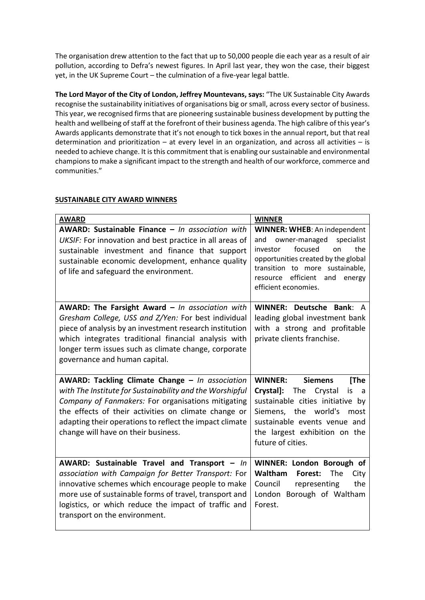The organisation drew attention to the fact that up to 50,000 people die each year as a result of air pollution, according to Defra's newest figures. In April last year, they won the case, their biggest yet, in the UK Supreme Court – the culmination of a five-year legal battle.

**The Lord Mayor of the City of London, Jeffrey Mountevans, says:** "The UK Sustainable City Awards recognise the sustainability initiatives of organisations big or small, across every sector of business. This year, we recognised firms that are pioneering sustainable business development by putting the health and wellbeing of staff at the forefront of their business agenda. The high calibre of this year's Awards applicants demonstrate that it's not enough to tick boxes in the annual report, but that real determination and prioritization – at every level in an organization, and across all activities – is needed to achieve change. It is this commitment that is enabling our sustainable and environmental champions to make a significant impact to the strength and health of our workforce, commerce and communities."

| <b>AWARD</b>                                                                                                                                                                                                                                                                                                                | <b>WINNER</b>                                                                                                                                                                                                                                |
|-----------------------------------------------------------------------------------------------------------------------------------------------------------------------------------------------------------------------------------------------------------------------------------------------------------------------------|----------------------------------------------------------------------------------------------------------------------------------------------------------------------------------------------------------------------------------------------|
| AWARD: Sustainable Finance - In association with<br>UKSIF: For innovation and best practice in all areas of<br>sustainable investment and finance that support<br>sustainable economic development, enhance quality<br>of life and safeguard the environment.                                                               | WINNER: WHEB: An independent<br>specialist<br>owner-managed<br>and<br>focused<br>the<br>investor<br>on<br>opportunities created by the global<br>transition to more sustainable,<br>resource efficient and<br>energy<br>efficient economies. |
| <b>AWARD: The Farsight Award - In association with</b><br>Gresham College, USS and Z/Yen: For best individual<br>piece of analysis by an investment research institution<br>which integrates traditional financial analysis with<br>longer term issues such as climate change, corporate<br>governance and human capital.   | WINNER: Deutsche Bank: A<br>leading global investment bank<br>with a strong and profitable<br>private clients franchise.                                                                                                                     |
| AWARD: Tackling Climate Change - In association<br>with The Institute for Sustainability and the Worshipful<br>Company of Fanmakers: For organisations mitigating<br>the effects of their activities on climate change or<br>adapting their operations to reflect the impact climate<br>change will have on their business. | [The<br><b>WINNER:</b><br><b>Siemens</b><br>Crystal]:<br>The<br>Crystal<br>is<br>a<br>sustainable cities initiative by<br>Siemens, the world's<br>most<br>sustainable events venue and<br>the largest exhibition on the<br>future of cities. |
| AWARD: Sustainable Travel and Transport - In<br>association with Campaign for Better Transport: For<br>innovative schemes which encourage people to make<br>more use of sustainable forms of travel, transport and<br>logistics, or which reduce the impact of traffic and<br>transport on the environment.                 | WINNER: London Borough of<br>Waltham<br>The<br>Forest:<br>City<br>Council<br>the<br>representing<br>London Borough of Waltham<br>Forest.                                                                                                     |

# **SUSTAINABLE CITY AWARD WINNERS**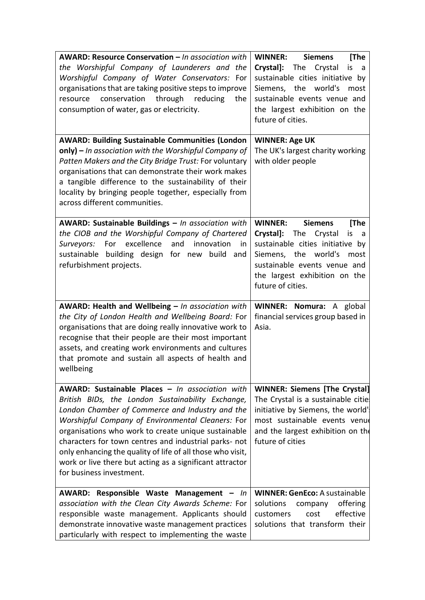| <b>AWARD: Resource Conservation - In association with</b><br>the Worshipful Company of Launderers and the<br>Worshipful Company of Water Conservators: For<br>organisations that are taking positive steps to improve<br>through<br>conservation<br>reducing<br>resource<br>the<br>consumption of water, gas or electricity.                                                                                                                                                       | <b>WINNER:</b><br><b>Siemens</b><br>[The<br>Crystal]: The Crystal<br>is<br>- a<br>sustainable cities initiative by<br>Siemens, the world's<br>most<br>sustainable events venue and<br>the largest exhibition on the<br>future of cities. |
|------------------------------------------------------------------------------------------------------------------------------------------------------------------------------------------------------------------------------------------------------------------------------------------------------------------------------------------------------------------------------------------------------------------------------------------------------------------------------------|------------------------------------------------------------------------------------------------------------------------------------------------------------------------------------------------------------------------------------------|
| <b>AWARD: Building Sustainable Communities (London</b><br>only) – In association with the Worshipful Company of<br>Patten Makers and the City Bridge Trust: For voluntary<br>organisations that can demonstrate their work makes<br>a tangible difference to the sustainability of their<br>locality by bringing people together, especially from<br>across different communities.                                                                                                 | <b>WINNER: Age UK</b><br>The UK's largest charity working<br>with older people                                                                                                                                                           |
| AWARD: Sustainable Buildings - In association with<br>the CIOB and the Worshipful Company of Chartered<br>excellence<br>and<br>For<br>innovation<br>Surveyors:<br>in<br>sustainable building design for new build and<br>refurbishment projects.                                                                                                                                                                                                                                   | <b>WINNER:</b><br><b>Siemens</b><br>[The<br>Crystal]: The Crystal<br>is<br>a a<br>sustainable cities initiative by<br>Siemens, the world's<br>most<br>sustainable events venue and<br>the largest exhibition on the<br>future of cities. |
| <b>AWARD: Health and Wellbeing - In association with</b><br>the City of London Health and Wellbeing Board: For<br>organisations that are doing really innovative work to<br>recognise that their people are their most important<br>assets, and creating work environments and cultures<br>that promote and sustain all aspects of health and<br>wellbeing                                                                                                                         | WINNER: Nomura: A global<br>financial services group based in<br>Asia.                                                                                                                                                                   |
| AWARD: Sustainable Places - In association with<br>British BIDs, the London Sustainability Exchange,<br>London Chamber of Commerce and Industry and the<br>Worshipful Company of Environmental Cleaners: For<br>organisations who work to create unique sustainable<br>characters for town centres and industrial parks- not<br>only enhancing the quality of life of all those who visit,<br>work or live there but acting as a significant attractor<br>for business investment. | <b>WINNER: Siemens [The Crystal]</b><br>The Crystal is a sustainable citie<br>initiative by Siemens, the world'<br>most sustainable events venue<br>and the largest exhibition on the<br>future of cities                                |
| AWARD: Responsible Waste Management - In<br>association with the Clean City Awards Scheme: For<br>responsible waste management. Applicants should<br>demonstrate innovative waste management practices<br>particularly with respect to implementing the waste                                                                                                                                                                                                                      | <b>WINNER: GenEco: A sustainable</b><br>solutions<br>offering<br>company<br>effective<br>customers<br>cost<br>solutions that transform their                                                                                             |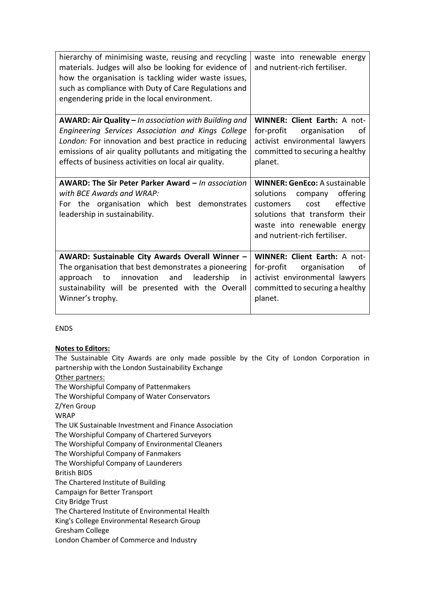| hierarchy of minimising waste, reusing and recycling<br>materials. Judges will also be looking for evidence of<br>how the organisation is tackling wider waste issues,<br>such as compliance with Duty of Care Regulations and<br>engendering pride in the local environment.         | waste into renewable energy<br>and nutrient-rich fertiliser.                                                                                                      |
|---------------------------------------------------------------------------------------------------------------------------------------------------------------------------------------------------------------------------------------------------------------------------------------|-------------------------------------------------------------------------------------------------------------------------------------------------------------------|
| AWARD: Air Quality - In association with Building and<br>Engineering Services Association and Kings College<br>London: For innovation and best practice in reducing<br>emissions of air quality pollutants and mitigating the<br>effects of business activities on local air quality. | <b>WINNER: Client Earth: A not-</b><br>for-profit<br>organisation<br>of<br>activist environmental lawyers<br>committed to securing a healthy<br>planet.           |
| AWARD: The Sir Peter Parker Award - In association                                                                                                                                                                                                                                    | <b>WINNER: GenEco: A sustainable</b>                                                                                                                              |
| with BCF Awards and WRAP:<br>For the organisation which best demonstrates<br>leadership in sustainability.                                                                                                                                                                            | solutions company<br>offering<br>effective<br>customers<br>cost<br>solutions that transform their<br>waste into renewable energy<br>and nutrient-rich fertiliser. |

ENDS

# **Notes to Editors:**

The Sustainable City Awards are only made possible by the City of London Corporation in partnership with the London Sustainability Exchange Other partners:

The Worshipful Company of Pattenmakers The Worshipful Company of Water Conservators Z/Yen Group WRAP The UK Sustainable Investment and Finance Association The Worshipful Company of Chartered Surveyors The Worshipful Company of Environmental Cleaners The Worshipful Company of Fanmakers The Worshipful Company of Launderers British BIDS The Chartered Institute of Building Campaign for Better Transport City Bridge Trust The Chartered Institute of Environmental Health King's College Environmental Research Group Gresham College London Chamber of Commerce and Industry